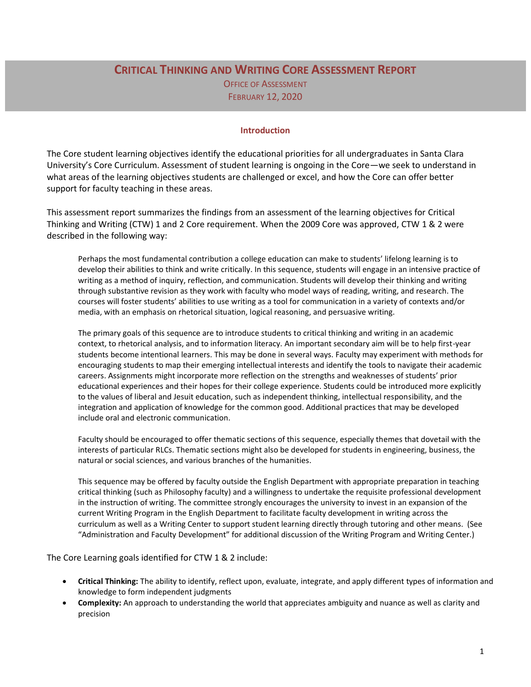# **CRITICAL THINKING AND WRITING CORE ASSESSMENT REPORT**

OFFICE OF ASSESSMENT FEBRUARY 12, 2020

#### **Introduction**

The Core student learning objectives identify the educational priorities for all undergraduates in Santa Clara University's Core Curriculum. Assessment of student learning is ongoing in the Core—we seek to understand in what areas of the learning objectives students are challenged or excel, and how the Core can offer better support for faculty teaching in these areas.

This assessment report summarizes the findings from an assessment of the learning objectives for Critical Thinking and Writing (CTW) 1 and 2 Core requirement. When the 2009 Core was approved, CTW 1 & 2 were described in the following way:

Perhaps the most fundamental contribution a college education can make to students' lifelong learning is to develop their abilities to think and write critically. In this sequence, students will engage in an intensive practice of writing as a method of inquiry, reflection, and communication. Students will develop their thinking and writing through substantive revision as they work with faculty who model ways of reading, writing, and research. The courses will foster students' abilities to use writing as a tool for communication in a variety of contexts and/or media, with an emphasis on rhetorical situation, logical reasoning, and persuasive writing.

The primary goals of this sequence are to introduce students to critical thinking and writing in an academic context, to rhetorical analysis, and to information literacy. An important secondary aim will be to help first-year students become intentional learners. This may be done in several ways. Faculty may experiment with methods for encouraging students to map their emerging intellectual interests and identify the tools to navigate their academic careers. Assignments might incorporate more reflection on the strengths and weaknesses of students' prior educational experiences and their hopes for their college experience. Students could be introduced more explicitly to the values of liberal and Jesuit education, such as independent thinking, intellectual responsibility, and the integration and application of knowledge for the common good. Additional practices that may be developed include oral and electronic communication.

Faculty should be encouraged to offer thematic sections of this sequence, especially themes that dovetail with the interests of particular RLCs. Thematic sections might also be developed for students in engineering, business, the natural or social sciences, and various branches of the humanities.

This sequence may be offered by faculty outside the English Department with appropriate preparation in teaching critical thinking (such as Philosophy faculty) and a willingness to undertake the requisite professional development in the instruction of writing. The committee strongly encourages the university to invest in an expansion of the current Writing Program in the English Department to facilitate faculty development in writing across the curriculum as well as a Writing Center to support student learning directly through tutoring and other means. (See "Administration and Faculty Development" for additional discussion of the Writing Program and Writing Center.)

The Core Learning goals identified for CTW 1 & 2 include:

- **Critical Thinking:** The ability to identify, reflect upon, evaluate, integrate, and apply different types of information and knowledge to form independent judgments
- **Complexity:** An approach to understanding the world that appreciates ambiguity and nuance as well as clarity and precision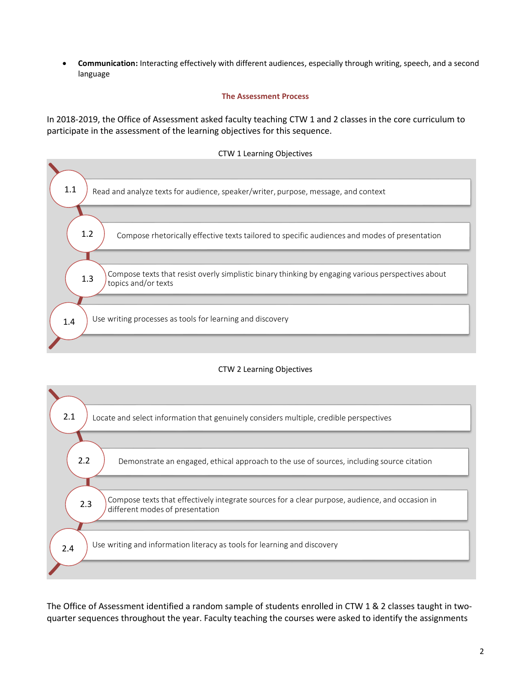• **Communication:** Interacting effectively with different audiences, especially through writing, speech, and a second language

#### **The Assessment Process**

In 2018-2019, the Office of Assessment asked faculty teaching CTW 1 and 2 classes in the core curriculum to participate in the assessment of the learning objectives for this sequence.

| CTW 1 Learning Objectives |  |
|---------------------------|--|
|---------------------------|--|

| 1.1<br>Read and analyze texts for audience, speaker/writer, purpose, message, and context                                        |
|----------------------------------------------------------------------------------------------------------------------------------|
|                                                                                                                                  |
| 1.2<br>Compose rhetorically effective texts tailored to specific audiences and modes of presentation                             |
| Compose texts that resist overly simplistic binary thinking by engaging various perspectives about<br>1.3<br>topics and/or texts |
| Use writing processes as tools for learning and discovery<br>1.4                                                                 |
|                                                                                                                                  |

#### CTW 2 Learning Objectives

| 2.1<br>Locate and select information that genuinely considers multiple, credible perspectives                                             |
|-------------------------------------------------------------------------------------------------------------------------------------------|
|                                                                                                                                           |
| 2.2<br>Demonstrate an engaged, ethical approach to the use of sources, including source citation                                          |
|                                                                                                                                           |
| Compose texts that effectively integrate sources for a clear purpose, audience, and occasion in<br>2.3<br>different modes of presentation |
|                                                                                                                                           |
| Use writing and information literacy as tools for learning and discovery<br>2.4                                                           |
|                                                                                                                                           |

The Office of Assessment identified a random sample of students enrolled in CTW 1 & 2 classes taught in twoquarter sequences throughout the year. Faculty teaching the courses were asked to identify the assignments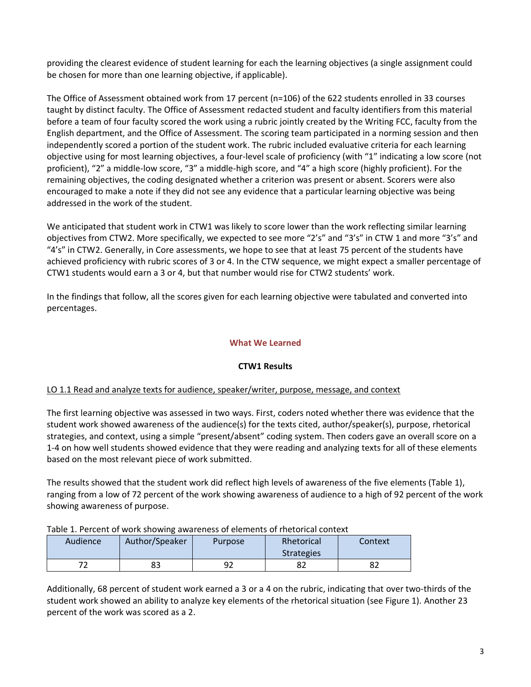providing the clearest evidence of student learning for each the learning objectives (a single assignment could be chosen for more than one learning objective, if applicable).

The Office of Assessment obtained work from 17 percent (n=106) of the 622 students enrolled in 33 courses taught by distinct faculty. The Office of Assessment redacted student and faculty identifiers from this material before a team of four faculty scored the work using a rubric jointly created by the Writing FCC, faculty from the English department, and the Office of Assessment. The scoring team participated in a norming session and then independently scored a portion of the student work. The rubric included evaluative criteria for each learning objective using for most learning objectives, a four-level scale of proficiency (with "1" indicating a low score (not proficient), "2" a middle-low score, "3" a middle-high score, and "4" a high score (highly proficient). For the remaining objectives, the coding designated whether a criterion was present or absent. Scorers were also encouraged to make a note if they did not see any evidence that a particular learning objective was being addressed in the work of the student.

We anticipated that student work in CTW1 was likely to score lower than the work reflecting similar learning objectives from CTW2. More specifically, we expected to see more "2's" and "3's" in CTW 1 and more "3's" and "4's" in CTW2. Generally, in Core assessments, we hope to see that at least 75 percent of the students have achieved proficiency with rubric scores of 3 or 4. In the CTW sequence, we might expect a smaller percentage of CTW1 students would earn a 3 or 4, but that number would rise for CTW2 students' work.

In the findings that follow, all the scores given for each learning objective were tabulated and converted into percentages.

# **What We Learned**

#### **CTW1 Results**

#### LO 1.1 Read and analyze texts for audience, speaker/writer, purpose, message, and context

The first learning objective was assessed in two ways. First, coders noted whether there was evidence that the student work showed awareness of the audience(s) for the texts cited, author/speaker(s), purpose, rhetorical strategies, and context, using a simple "present/absent" coding system. Then coders gave an overall score on a 1-4 on how well students showed evidence that they were reading and analyzing texts for all of these elements based on the most relevant piece of work submitted.

The results showed that the student work did reflect high levels of awareness of the five elements (Table 1), ranging from a low of 72 percent of the work showing awareness of audience to a high of 92 percent of the work showing awareness of purpose.

| Table 1. Percent of Work Showing awareness of elements of metonical context |                |                |                   |         |  |  |  |  |  |
|-----------------------------------------------------------------------------|----------------|----------------|-------------------|---------|--|--|--|--|--|
| Audience                                                                    | Author/Speaker | <b>Purpose</b> | Rhetorical        | Context |  |  |  |  |  |
|                                                                             |                |                | <b>Strategies</b> |         |  |  |  |  |  |
|                                                                             | 83             | 92             | 82                | 82      |  |  |  |  |  |

Table 1. Percent of work showing awareness of elements of rhetorical context

Additionally, 68 percent of student work earned a 3 or a 4 on the rubric, indicating that over two-thirds of the student work showed an ability to analyze key elements of the rhetorical situation (see Figure 1). Another 23 percent of the work was scored as a 2.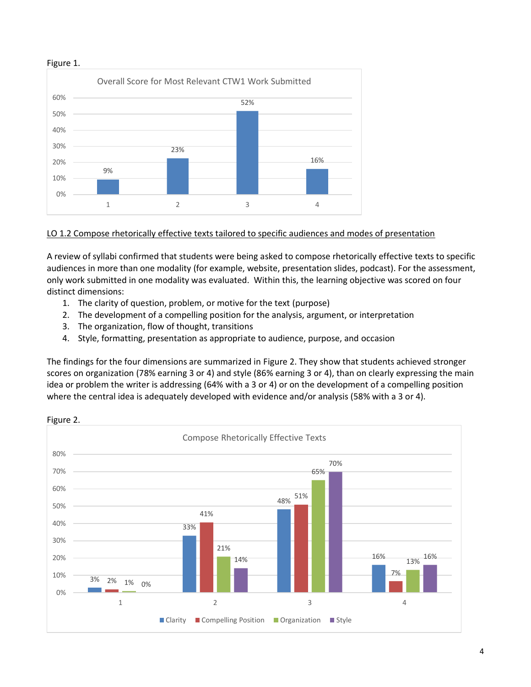

# LO 1.2 Compose rhetorically effective texts tailored to specific audiences and modes of presentation

A review of syllabi confirmed that students were being asked to compose rhetorically effective texts to specific audiences in more than one modality (for example, website, presentation slides, podcast). For the assessment, only work submitted in one modality was evaluated. Within this, the learning objective was scored on four distinct dimensions:

- 1. The clarity of question, problem, or motive for the text (purpose)
- 2. The development of a compelling position for the analysis, argument, or interpretation
- 3. The organization, flow of thought, transitions
- 4. Style, formatting, presentation as appropriate to audience, purpose, and occasion

The findings for the four dimensions are summarized in Figure 2. They show that students achieved stronger scores on organization (78% earning 3 or 4) and style (86% earning 3 or 4), than on clearly expressing the main idea or problem the writer is addressing (64% with a 3 or 4) or on the development of a compelling position where the central idea is adequately developed with evidence and/or analysis (58% with a 3 or 4).



Figure 2.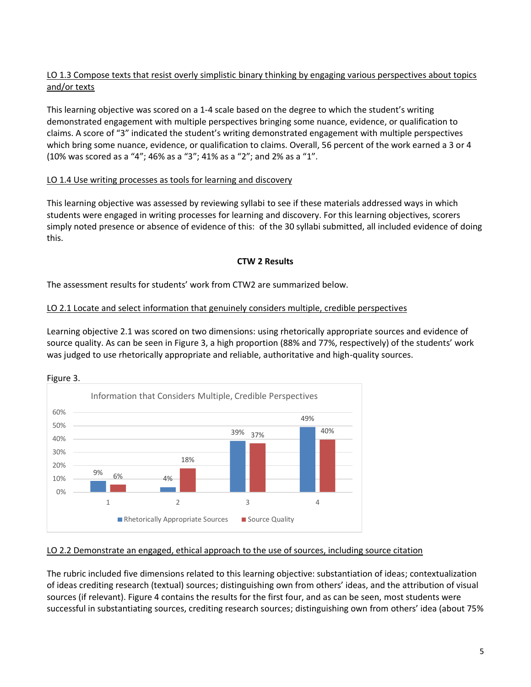# LO 1.3 Compose texts that resist overly simplistic binary thinking by engaging various perspectives about topics and/or texts

This learning objective was scored on a 1-4 scale based on the degree to which the student's writing demonstrated engagement with multiple perspectives bringing some nuance, evidence, or qualification to claims. A score of "3" indicated the student's writing demonstrated engagement with multiple perspectives which bring some nuance, evidence, or qualification to claims. Overall, 56 percent of the work earned a 3 or 4 (10% was scored as a "4"; 46% as a "3"; 41% as a "2"; and 2% as a "1".

## LO 1.4 Use writing processes as tools for learning and discovery

This learning objective was assessed by reviewing syllabi to see if these materials addressed ways in which students were engaged in writing processes for learning and discovery. For this learning objectives, scorers simply noted presence or absence of evidence of this: of the 30 syllabi submitted, all included evidence of doing this.

#### **CTW 2 Results**

The assessment results for students' work from CTW2 are summarized below.

## LO 2.1 Locate and select information that genuinely considers multiple, credible perspectives

Learning objective 2.1 was scored on two dimensions: using rhetorically appropriate sources and evidence of source quality. As can be seen in Figure 3, a high proportion (88% and 77%, respectively) of the students' work was judged to use rhetorically appropriate and reliable, authoritative and high-quality sources.



#### LO 2.2 Demonstrate an engaged, ethical approach to the use of sources, including source citation

The rubric included five dimensions related to this learning objective: substantiation of ideas; contextualization of ideas crediting research (textual) sources; distinguishing own from others' ideas, and the attribution of visual sources (if relevant). Figure 4 contains the results for the first four, and as can be seen, most students were successful in substantiating sources, crediting research sources; distinguishing own from others' idea (about 75%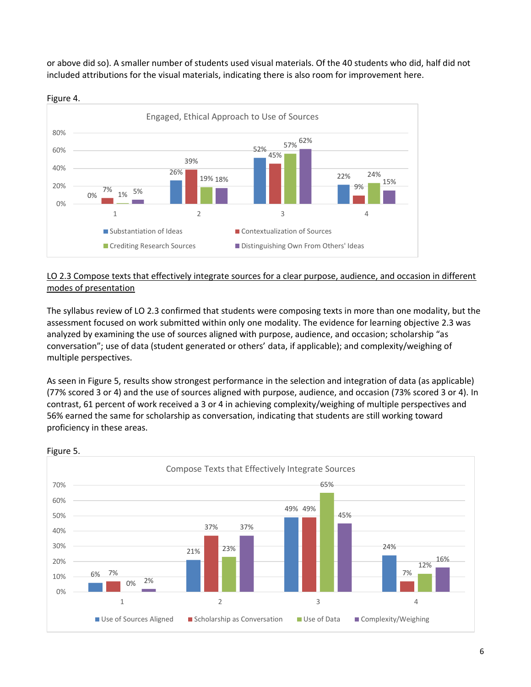or above did so). A smaller number of students used visual materials. Of the 40 students who did, half did not included attributions for the visual materials, indicating there is also room for improvement here.



Figure 4.

# LO 2.3 Compose texts that effectively integrate sources for a clear purpose, audience, and occasion in different modes of presentation

The syllabus review of LO 2.3 confirmed that students were composing texts in more than one modality, but the assessment focused on work submitted within only one modality. The evidence for learning objective 2.3 was analyzed by examining the use of sources aligned with purpose, audience, and occasion; scholarship "as conversation"; use of data (student generated or others' data, if applicable); and complexity/weighing of multiple perspectives.

As seen in Figure 5, results show strongest performance in the selection and integration of data (as applicable) (77% scored 3 or 4) and the use of sources aligned with purpose, audience, and occasion (73% scored 3 or 4). In contrast, 61 percent of work received a 3 or 4 in achieving complexity/weighing of multiple perspectives and 56% earned the same for scholarship as conversation, indicating that students are still working toward proficiency in these areas.



6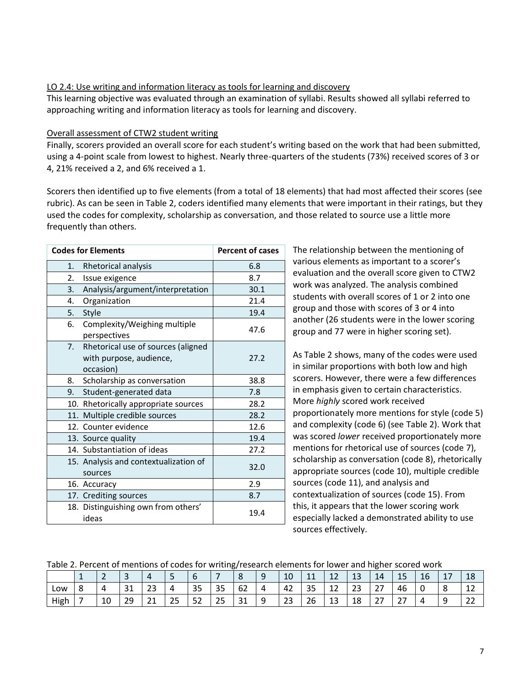#### LO 2.4: Use writing and information literacy as tools for learning and discovery

This learning objective was evaluated through an examination of syllabi. Results showed all syllabi referred to approaching writing and information literacy as tools for learning and discovery.

#### Overall assessment of CTW2 student writing

Finally, scorers provided an overall score for each student's writing based on the work that had been submitted, using a 4-point scale from lowest to highest. Nearly three-quarters of the students (73%) received scores of 3 or 4, 21% received a 2, and 6% received a 1.

Scorers then identified up to five elements (from a total of 18 elements) that had most affected their scores (see rubric). As can be seen in Table 2, coders identified many elements that were important in their ratings, but they used the codes for complexity, scholarship as conversation, and those related to source use a little more frequently than others.

|    | <b>Codes for Elements</b>                                                  | <b>Percent of cases</b> |
|----|----------------------------------------------------------------------------|-------------------------|
| 1. | Rhetorical analysis                                                        | 6.8                     |
| 2. | Issue exigence                                                             | 8.7                     |
| 3. | Analysis/argument/interpretation                                           | 30.1                    |
| 4. | Organization                                                               | 21.4                    |
|    | 5. Style                                                                   | 19.4                    |
| 6. | Complexity/Weighing multiple<br>perspectives                               | 47.6                    |
| 7. | Rhetorical use of sources (aligned<br>with purpose, audience,<br>occasion) | 27.2                    |
| 8. | Scholarship as conversation                                                | 38.8                    |
| 9. | Student-generated data                                                     | 7.8                     |
|    | 10. Rhetorically appropriate sources                                       | 28.2                    |
|    | 11. Multiple credible sources                                              | 28.2                    |
|    | 12. Counter evidence                                                       | 12.6                    |
|    | 13. Source quality                                                         | 19.4                    |
|    | 14. Substantiation of ideas                                                | 27.2                    |
|    | 15. Analysis and contextualization of<br>sources                           | 32.0                    |
|    | 16. Accuracy                                                               | 2.9                     |
|    | 17. Crediting sources                                                      | 8.7                     |
|    | 18. Distinguishing own from others'<br>ideas                               | 19.4                    |

The relationship between the mentioning of various elements as important to a scorer's evaluation and the overall score given to CTW2 work was analyzed. The analysis combined students with overall scores of 1 or 2 into one group and those with scores of 3 or 4 into another (26 students were in the lower scoring group and 77 were in higher scoring set).

As Table 2 shows, many of the codes were used in similar proportions with both low and high scorers. However, there were a few differences in emphasis given to certain characteristics. More *highly* scored work received proportionately more mentions for style (code 5) and complexity (code 6) (see Table 2). Work that was scored *lower* received proportionately more mentions for rhetorical use of sources (code 7), scholarship as conversation (code 8), rhetorically appropriate sources (code 10), multiple credible sources (code 11), and analysis and contextualization of sources (code 15). From this, it appears that the lower scoring work especially lacked a demonstrated ability to use sources effectively.

|  | Table 2. Percent of mentions of codes for writing/research elements for lower and higher scored work |
|--|------------------------------------------------------------------------------------------------------|
|  |                                                                                                      |

|      |   |    |          | $\overline{ }$ |              |          |          |    |   | 10 | $\overline{A}$<br>ᆠᅶ | ᅩ        | τp           | 14                      | IJ                        | 16 | 17<br>ᆚ | 18       |
|------|---|----|----------|----------------|--------------|----------|----------|----|---|----|----------------------|----------|--------------|-------------------------|---------------------------|----|---------|----------|
| Low  | ັ | Д  | ີ 1<br>ັ | $\sim$<br>23   |              | 35       | 35       | 62 |   | 42 | 35                   | ។ ។<br>ᅭ | $\sim$<br>25 | $\mathcal{L}$<br>$\sim$ | 46                        |    | o       | 1.<br>ᅭ  |
| High |   | 10 | 29       | ີ<br>ᅀ         | $\cap$<br>25 | よつ<br>ےر | つに<br>رے | 31 | o | 23 | 26                   | 13       | 18           | $\epsilon$              | $\sim$ $-$<br><u>. , </u> | 4  | 9       | າາ<br>LL |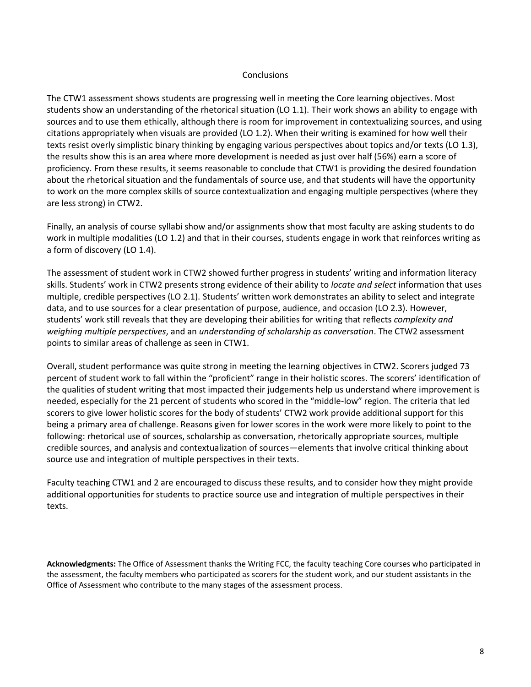#### **Conclusions**

The CTW1 assessment shows students are progressing well in meeting the Core learning objectives. Most students show an understanding of the rhetorical situation (LO 1.1). Their work shows an ability to engage with sources and to use them ethically, although there is room for improvement in contextualizing sources, and using citations appropriately when visuals are provided (LO 1.2). When their writing is examined for how well their texts resist overly simplistic binary thinking by engaging various perspectives about topics and/or texts (LO 1.3), the results show this is an area where more development is needed as just over half (56%) earn a score of proficiency. From these results, it seems reasonable to conclude that CTW1 is providing the desired foundation about the rhetorical situation and the fundamentals of source use, and that students will have the opportunity to work on the more complex skills of source contextualization and engaging multiple perspectives (where they are less strong) in CTW2.

Finally, an analysis of course syllabi show and/or assignments show that most faculty are asking students to do work in multiple modalities (LO 1.2) and that in their courses, students engage in work that reinforces writing as a form of discovery (LO 1.4).

The assessment of student work in CTW2 showed further progress in students' writing and information literacy skills. Students' work in CTW2 presents strong evidence of their ability to *locate and select* information that uses multiple, credible perspectives (LO 2.1). Students' written work demonstrates an ability to select and integrate data, and to use sources for a clear presentation of purpose, audience, and occasion (LO 2.3). However, students' work still reveals that they are developing their abilities for writing that reflects *complexity and weighing multiple perspectives*, and an *understanding of scholarship as conversation*. The CTW2 assessment points to similar areas of challenge as seen in CTW1.

Overall, student performance was quite strong in meeting the learning objectives in CTW2. Scorers judged 73 percent of student work to fall within the "proficient" range in their holistic scores. The scorers' identification of the qualities of student writing that most impacted their judgements help us understand where improvement is needed, especially for the 21 percent of students who scored in the "middle-low" region. The criteria that led scorers to give lower holistic scores for the body of students' CTW2 work provide additional support for this being a primary area of challenge. Reasons given for lower scores in the work were more likely to point to the following: rhetorical use of sources, scholarship as conversation, rhetorically appropriate sources, multiple credible sources, and analysis and contextualization of sources—elements that involve critical thinking about source use and integration of multiple perspectives in their texts.

Faculty teaching CTW1 and 2 are encouraged to discuss these results, and to consider how they might provide additional opportunities for students to practice source use and integration of multiple perspectives in their texts.

**Acknowledgments:** The Office of Assessment thanks the Writing FCC, the faculty teaching Core courses who participated in the assessment, the faculty members who participated as scorers for the student work, and our student assistants in the Office of Assessment who contribute to the many stages of the assessment process.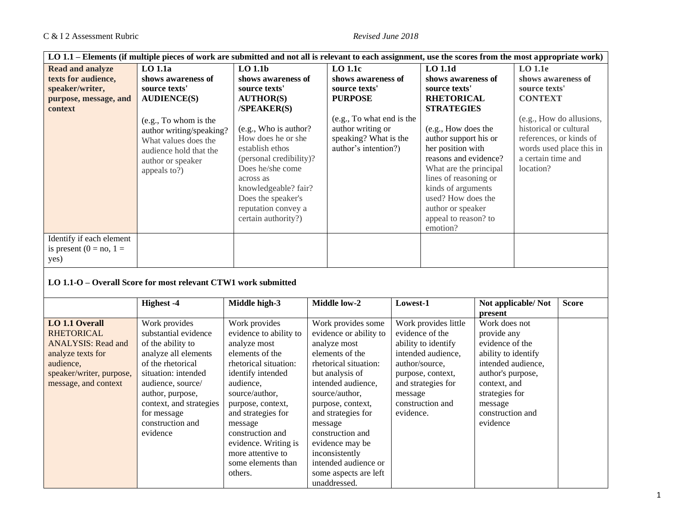| LO 1.1 – Elements (if multiple pieces of work are submitted and not all is relevant to each assignment, use the scores from the most appropriate work)            |                                                                                                                                                                                                                                                   |                                                                                                                                                                                                                                                                                                                  |                     |                                                                                                                                                                                                                                                                                                                                                                             |          |                                                                                                                                                                                                                                                                                                                                                  |                                                                                                                                                                                                |                                                                                                                                                                                                                    |              |
|-------------------------------------------------------------------------------------------------------------------------------------------------------------------|---------------------------------------------------------------------------------------------------------------------------------------------------------------------------------------------------------------------------------------------------|------------------------------------------------------------------------------------------------------------------------------------------------------------------------------------------------------------------------------------------------------------------------------------------------------------------|---------------------|-----------------------------------------------------------------------------------------------------------------------------------------------------------------------------------------------------------------------------------------------------------------------------------------------------------------------------------------------------------------------------|----------|--------------------------------------------------------------------------------------------------------------------------------------------------------------------------------------------------------------------------------------------------------------------------------------------------------------------------------------------------|------------------------------------------------------------------------------------------------------------------------------------------------------------------------------------------------|--------------------------------------------------------------------------------------------------------------------------------------------------------------------------------------------------------------------|--------------|
| <b>Read and analyze</b><br>texts for audience,<br>speaker/writer,<br>purpose, message, and<br>context                                                             | $LO$ 1.1a<br>shows awareness of<br>source texts'<br><b>AUDIENCE(S)</b><br>(e.g., To whom is the<br>author writing/speaking?<br>What values does the<br>audience hold that the<br>author or speaker<br>appeals to?)                                | $LO$ 1.1 $b$<br>shows awareness of<br>source texts'<br><b>AUTHOR(S)</b><br>/SPEAKER(S)<br>(e.g., Who is author?<br>How does he or she<br>establish ethos<br>(personal credibility)?<br>Does he/she come<br>across as<br>knowledgeable? fair?<br>Does the speaker's<br>reputation convey a<br>certain authority?) |                     | <b>LO 1.1c</b><br>shows awareness of<br>source texts'<br><b>PURPOSE</b><br>(e.g., To what end is the<br>author writing or<br>speaking? What is the<br>author's intention?)                                                                                                                                                                                                  |          | $LO$ 1.1d<br>shows awareness of<br>source texts'<br><b>RHETORICAL</b><br><b>STRATEGIES</b><br>(e.g., How does the<br>author support his or<br>her position with<br>reasons and evidence?<br>What are the principal<br>lines of reasoning or<br>kinds of arguments<br>used? How does the<br>author or speaker<br>appeal to reason? to<br>emotion? |                                                                                                                                                                                                | $LO$ 1.1e<br>shows awareness of<br>source texts'<br><b>CONTEXT</b><br>(e.g., How do allusions,<br>historical or cultural<br>references, or kinds of<br>words used place this in<br>a certain time and<br>location? |              |
| Identify if each element<br>is present $(0 = no, 1 =$<br>yes)                                                                                                     |                                                                                                                                                                                                                                                   |                                                                                                                                                                                                                                                                                                                  |                     |                                                                                                                                                                                                                                                                                                                                                                             |          |                                                                                                                                                                                                                                                                                                                                                  |                                                                                                                                                                                                |                                                                                                                                                                                                                    |              |
| LO 1.1-O - Overall Score for most relevant CTW1 work submitted                                                                                                    |                                                                                                                                                                                                                                                   |                                                                                                                                                                                                                                                                                                                  |                     |                                                                                                                                                                                                                                                                                                                                                                             |          |                                                                                                                                                                                                                                                                                                                                                  |                                                                                                                                                                                                |                                                                                                                                                                                                                    |              |
|                                                                                                                                                                   | Highest -4                                                                                                                                                                                                                                        | Middle high-3                                                                                                                                                                                                                                                                                                    | <b>Middle low-2</b> |                                                                                                                                                                                                                                                                                                                                                                             | Lowest-1 |                                                                                                                                                                                                                                                                                                                                                  | present                                                                                                                                                                                        | Not applicable/Not                                                                                                                                                                                                 | <b>Score</b> |
| LO <sub>1.1</sub> Overall<br><b>RHETORICAL</b><br><b>ANALYSIS: Read and</b><br>analyze texts for<br>audience,<br>speaker/writer, purpose,<br>message, and context | Work provides<br>substantial evidence<br>of the ability to<br>analyze all elements<br>of the rhetorical<br>situation: intended<br>audience, source/<br>author, purpose,<br>context, and strategies<br>for message<br>construction and<br>evidence | Work provides<br>evidence to ability to<br>analyze most<br>elements of the<br>rhetorical situation:<br>identify intended<br>audience,<br>source/author,<br>purpose, context,<br>and strategies for<br>message<br>construction and<br>evidence. Writing is<br>more attentive to<br>some elements than<br>others.  |                     | Work provides some<br>evidence or ability to<br>analyze most<br>elements of the<br>rhetorical situation:<br>but analysis of<br>intended audience,<br>source/author,<br>message<br>purpose, context,<br>and strategies for<br>evidence.<br>message<br>construction and<br>evidence may be<br>inconsistently<br>intended audience or<br>some aspects are left<br>unaddressed. |          | Work provides little<br>evidence of the<br>ability to identify<br>intended audience,<br>author/source,<br>purpose, context,<br>and strategies for<br>construction and                                                                                                                                                                            | Work does not<br>provide any<br>evidence of the<br>ability to identify<br>intended audience,<br>author's purpose,<br>context, and<br>strategies for<br>message<br>construction and<br>evidence |                                                                                                                                                                                                                    |              |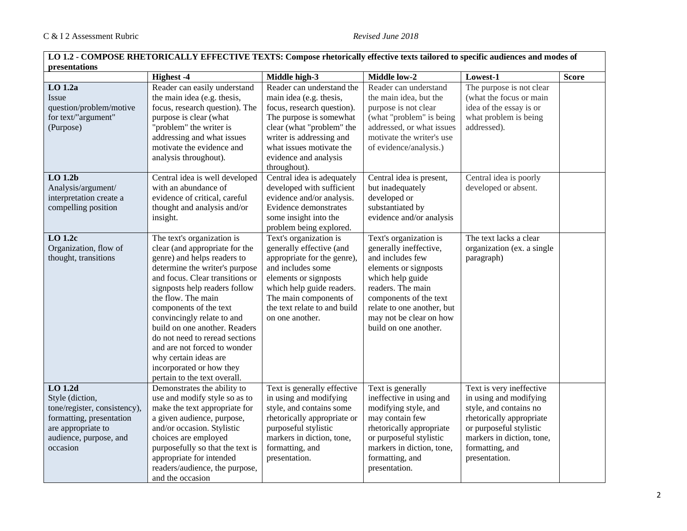| LO 1.2 • COMPOSE KHETOKICALL I EFFECTIVE TEATS: Compose fhetofically effective texts tanofed to specific audiences and modes of<br>presentations                          |                                                                                                                                                                                                                                                                                                                                                                                                                                                                         |                                                                                                                                                                                                                                                                                                                                                                                       |                                                                                                                                                                                                                                                                                                         |                                                                                                                                                                                                      |              |  |  |  |  |  |
|---------------------------------------------------------------------------------------------------------------------------------------------------------------------------|-------------------------------------------------------------------------------------------------------------------------------------------------------------------------------------------------------------------------------------------------------------------------------------------------------------------------------------------------------------------------------------------------------------------------------------------------------------------------|---------------------------------------------------------------------------------------------------------------------------------------------------------------------------------------------------------------------------------------------------------------------------------------------------------------------------------------------------------------------------------------|---------------------------------------------------------------------------------------------------------------------------------------------------------------------------------------------------------------------------------------------------------------------------------------------------------|------------------------------------------------------------------------------------------------------------------------------------------------------------------------------------------------------|--------------|--|--|--|--|--|
|                                                                                                                                                                           | Highest -4                                                                                                                                                                                                                                                                                                                                                                                                                                                              | Middle high-3                                                                                                                                                                                                                                                                                                                                                                         | Middle low-2                                                                                                                                                                                                                                                                                            | Lowest-1                                                                                                                                                                                             | <b>Score</b> |  |  |  |  |  |
| $LO$ 1.2a<br>Issue<br>question/problem/motive<br>for text/"argument"<br>(Purpose)<br>$LO$ 1.2 $b$<br>Analysis/argument/<br>interpretation create a<br>compelling position | Reader can easily understand<br>the main idea (e.g. thesis,<br>focus, research question). The<br>purpose is clear (what<br>"problem" the writer is<br>addressing and what issues<br>motivate the evidence and<br>analysis throughout).<br>Central idea is well developed<br>with an abundance of<br>evidence of critical, careful<br>thought and analysis and/or<br>insight.                                                                                            | Reader can understand the<br>main idea (e.g. thesis,<br>focus, research question).<br>The purpose is somewhat<br>clear (what "problem" the<br>writer is addressing and<br>what issues motivate the<br>evidence and analysis<br>throughout).<br>Central idea is adequately<br>developed with sufficient<br>evidence and/or analysis.<br>Evidence demonstrates<br>some insight into the | Reader can understand<br>the main idea, but the<br>purpose is not clear<br>(what "problem" is being<br>addressed, or what issues<br>motivate the writer's use<br>of evidence/analysis.)<br>Central idea is present,<br>but inadequately<br>developed or<br>substantiated by<br>evidence and/or analysis | The purpose is not clear<br>(what the focus or main<br>idea of the essay is or<br>what problem is being<br>addressed).<br>Central idea is poorly<br>developed or absent.                             |              |  |  |  |  |  |
| $LO$ 1.2 $c$<br>Organization, flow of<br>thought, transitions                                                                                                             | The text's organization is<br>clear (and appropriate for the<br>genre) and helps readers to<br>determine the writer's purpose<br>and focus. Clear transitions or<br>signposts help readers follow<br>the flow. The main<br>components of the text<br>convincingly relate to and<br>build on one another. Readers<br>do not need to reread sections<br>and are not forced to wonder<br>why certain ideas are<br>incorporated or how they<br>pertain to the text overall. | problem being explored.<br>Text's organization is<br>generally effective (and<br>appropriate for the genre),<br>and includes some<br>elements or signposts<br>which help guide readers.<br>The main components of<br>the text relate to and build<br>on one another.                                                                                                                  | Text's organization is<br>generally ineffective,<br>and includes few<br>elements or signposts<br>which help guide<br>readers. The main<br>components of the text<br>relate to one another, but<br>may not be clear on how<br>build on one another.                                                      | The text lacks a clear<br>organization (ex. a single<br>paragraph)                                                                                                                                   |              |  |  |  |  |  |
| $LO$ 1.2d<br>Style (diction,<br>tone/register, consistency),<br>formatting, presentation<br>are appropriate to<br>audience, purpose, and<br>occasion                      | Demonstrates the ability to<br>use and modify style so as to<br>make the text appropriate for<br>a given audience, purpose,<br>and/or occasion. Stylistic<br>choices are employed<br>purposefully so that the text is<br>appropriate for intended<br>readers/audience, the purpose,<br>and the occasion                                                                                                                                                                 | Text is generally effective<br>in using and modifying<br>style, and contains some<br>rhetorically appropriate or<br>purposeful stylistic<br>markers in diction, tone,<br>formatting, and<br>presentation.                                                                                                                                                                             | Text is generally<br>ineffective in using and<br>modifying style, and<br>may contain few<br>rhetorically appropriate<br>or purposeful stylistic<br>markers in diction, tone,<br>formatting, and<br>presentation.                                                                                        | Text is very ineffective<br>in using and modifying<br>style, and contains no<br>rhetorically appropriate<br>or purposeful stylistic<br>markers in diction, tone,<br>formatting, and<br>presentation. |              |  |  |  |  |  |

# **LO 1.2 - COMPOSE RHETORICALLY EFFECTIVE TEXTS: Compose rhetorically effective texts tailored to specific audiences and modes of**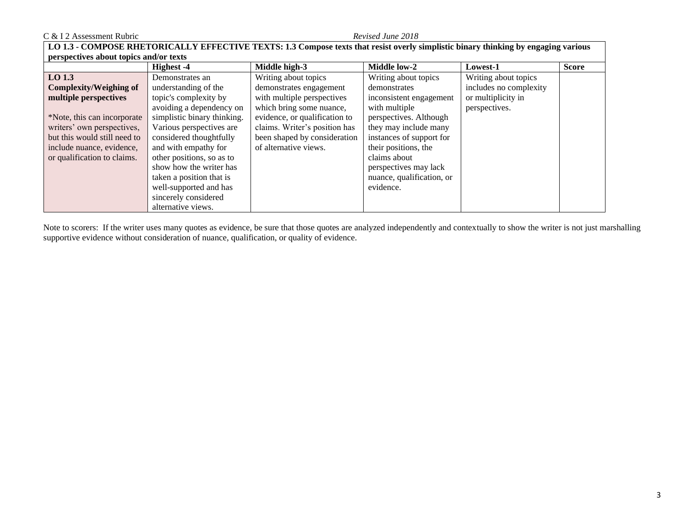| LO 1.3 - COMPOSE RHETORICALLY EFFECTIVE TEXTS: 1.3 Compose texts that resist overly simplistic binary thinking by engaging various |                             |                               |                           |                        |              |  |  |  |  |
|------------------------------------------------------------------------------------------------------------------------------------|-----------------------------|-------------------------------|---------------------------|------------------------|--------------|--|--|--|--|
| perspectives about topics and/or texts                                                                                             |                             |                               |                           |                        |              |  |  |  |  |
|                                                                                                                                    | Highest -4                  | Middle high-3                 | <b>Middle low-2</b>       | Lowest-1               | <b>Score</b> |  |  |  |  |
| $LO$ 1.3                                                                                                                           | Demonstrates an             | Writing about topics          | Writing about topics      | Writing about topics   |              |  |  |  |  |
| <b>Complexity/Weighing of</b>                                                                                                      | understanding of the        | demonstrates engagement       | demonstrates              | includes no complexity |              |  |  |  |  |
| multiple perspectives                                                                                                              | topic's complexity by       | with multiple perspectives    | inconsistent engagement   | or multiplicity in     |              |  |  |  |  |
|                                                                                                                                    | avoiding a dependency on    | which bring some nuance,      | with multiple             | perspectives.          |              |  |  |  |  |
| *Note, this can incorporate                                                                                                        | simplistic binary thinking. | evidence, or qualification to | perspectives. Although    |                        |              |  |  |  |  |
| writers' own perspectives,                                                                                                         | Various perspectives are    | claims. Writer's position has | they may include many     |                        |              |  |  |  |  |
| but this would still need to                                                                                                       | considered thoughtfully     | been shaped by consideration  | instances of support for  |                        |              |  |  |  |  |
| include nuance, evidence,                                                                                                          | and with empathy for        | of alternative views.         | their positions, the      |                        |              |  |  |  |  |
| or qualification to claims.                                                                                                        | other positions, so as to   |                               | claims about              |                        |              |  |  |  |  |
|                                                                                                                                    | show how the writer has     |                               | perspectives may lack     |                        |              |  |  |  |  |
|                                                                                                                                    | taken a position that is    |                               | nuance, qualification, or |                        |              |  |  |  |  |
|                                                                                                                                    | well-supported and has      |                               | evidence.                 |                        |              |  |  |  |  |
|                                                                                                                                    | sincerely considered        |                               |                           |                        |              |  |  |  |  |
|                                                                                                                                    | alternative views.          |                               |                           |                        |              |  |  |  |  |

Note to scorers: If the writer uses many quotes as evidence, be sure that those quotes are analyzed independently and contextually to show the writer is not just marshalling supportive evidence without consideration of nuance, qualification, or quality of evidence.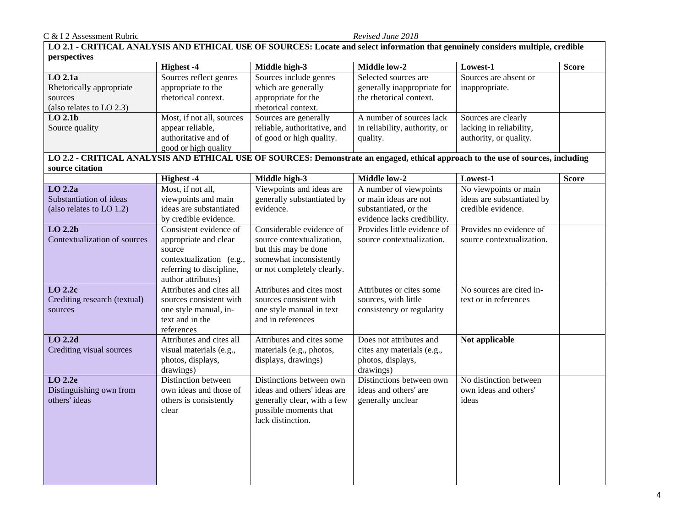| LO 2.1 - CRITICAL ANALYSIS AND ETHICAL USE OF SOURCES: Locate and select information that genuinely considers multiple, credible |                           |                              |                               |                            |              |  |  |  |
|----------------------------------------------------------------------------------------------------------------------------------|---------------------------|------------------------------|-------------------------------|----------------------------|--------------|--|--|--|
| perspectives                                                                                                                     |                           |                              |                               |                            |              |  |  |  |
|                                                                                                                                  | <b>Highest -4</b>         | Middle high-3                | Middle low-2                  | Lowest-1                   | <b>Score</b> |  |  |  |
| $LO$ 2.1a                                                                                                                        | Sources reflect genres    | Sources include genres       | Selected sources are          | Sources are absent or      |              |  |  |  |
| Rhetorically appropriate                                                                                                         | appropriate to the        | which are generally          | generally inappropriate for   | inappropriate.             |              |  |  |  |
| sources                                                                                                                          | rhetorical context.       | appropriate for the          | the rhetorical context.       |                            |              |  |  |  |
| (also relates to LO 2.3)                                                                                                         |                           | rhetorical context.          |                               |                            |              |  |  |  |
| $LO$ 2.1 $b$                                                                                                                     | Most, if not all, sources | Sources are generally        | A number of sources lack      | Sources are clearly        |              |  |  |  |
| Source quality                                                                                                                   | appear reliable,          | reliable, authoritative, and | in reliability, authority, or | lacking in reliability,    |              |  |  |  |
|                                                                                                                                  | authoritative and of      | of good or high quality.     | quality.                      | authority, or quality.     |              |  |  |  |
|                                                                                                                                  | good or high quality      |                              |                               |                            |              |  |  |  |
| LO 2.2 - CRITICAL ANALYSIS AND ETHICAL USE OF SOURCES: Demonstrate an engaged, ethical approach to the use of sources, including |                           |                              |                               |                            |              |  |  |  |
| source citation                                                                                                                  |                           |                              |                               |                            |              |  |  |  |
|                                                                                                                                  | <b>Highest -4</b>         | Middle high-3                | Middle low-2                  | Lowest-1                   | <b>Score</b> |  |  |  |
| $LO$ 2.2a                                                                                                                        | Most, if not all,         | Viewpoints and ideas are     | A number of viewpoints        | No viewpoints or main      |              |  |  |  |
| Substantiation of ideas                                                                                                          | viewpoints and main       | generally substantiated by   | or main ideas are not         | ideas are substantiated by |              |  |  |  |
| (also relates to LO 1.2)                                                                                                         | ideas are substantiated   | evidence.                    | substantiated, or the         | credible evidence.         |              |  |  |  |
|                                                                                                                                  | by credible evidence.     |                              | evidence lacks credibility.   |                            |              |  |  |  |
| $LO$ 2.2b                                                                                                                        | Consistent evidence of    | Considerable evidence of     | Provides little evidence of   | Provides no evidence of    |              |  |  |  |
| Contextualization of sources                                                                                                     | appropriate and clear     | source contextualization,    | source contextualization.     | source contextualization.  |              |  |  |  |
|                                                                                                                                  | source                    | but this may be done         |                               |                            |              |  |  |  |
|                                                                                                                                  | contextualization (e.g.,  | somewhat inconsistently      |                               |                            |              |  |  |  |
|                                                                                                                                  | referring to discipline,  | or not completely clearly.   |                               |                            |              |  |  |  |
|                                                                                                                                  | author attributes)        |                              |                               |                            |              |  |  |  |
| $LO$ 2.2 $c$                                                                                                                     | Attributes and cites all  | Attributes and cites most    | Attributes or cites some      | No sources are cited in-   |              |  |  |  |
| Crediting research (textual)                                                                                                     | sources consistent with   | sources consistent with      | sources, with little          | text or in references      |              |  |  |  |
| sources                                                                                                                          | one style manual, in-     | one style manual in text     | consistency or regularity     |                            |              |  |  |  |
|                                                                                                                                  | text and in the           | and in references            |                               |                            |              |  |  |  |
|                                                                                                                                  | references                |                              |                               |                            |              |  |  |  |
| $LO$ 2.2d                                                                                                                        | Attributes and cites all  | Attributes and cites some    | Does not attributes and       | Not applicable             |              |  |  |  |
| Crediting visual sources                                                                                                         | visual materials (e.g.,   | materials (e.g., photos,     | cites any materials (e.g.,    |                            |              |  |  |  |
|                                                                                                                                  | photos, displays,         | displays, drawings)          | photos, displays,             |                            |              |  |  |  |
|                                                                                                                                  | drawings)                 |                              | drawings)                     |                            |              |  |  |  |
| $LO$ 2.2e                                                                                                                        | Distinction between       | Distinctions between own     | Distinctions between own      | No distinction between     |              |  |  |  |
| Distinguishing own from                                                                                                          | own ideas and those of    | ideas and others' ideas are  | ideas and others' are         | own ideas and others'      |              |  |  |  |
| others' ideas                                                                                                                    | others is consistently    | generally clear, with a few  | generally unclear             | ideas                      |              |  |  |  |
|                                                                                                                                  | clear                     | possible moments that        |                               |                            |              |  |  |  |
|                                                                                                                                  |                           | lack distinction.            |                               |                            |              |  |  |  |
|                                                                                                                                  |                           |                              |                               |                            |              |  |  |  |
|                                                                                                                                  |                           |                              |                               |                            |              |  |  |  |
|                                                                                                                                  |                           |                              |                               |                            |              |  |  |  |
|                                                                                                                                  |                           |                              |                               |                            |              |  |  |  |
|                                                                                                                                  |                           |                              |                               |                            |              |  |  |  |
|                                                                                                                                  |                           |                              |                               |                            |              |  |  |  |

┑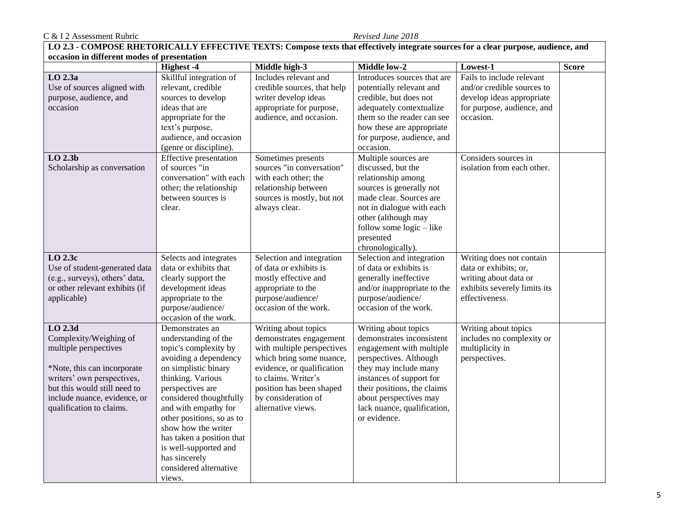| LO 2.3 - COMPOSE RHETORICALLY EFFECTIVE TEXTS: Compose texts that effectively integrate sources for a clear purpose, audience, and<br>occasion in different modes of presentation |                                                  |                             |                             |                              |              |  |  |  |
|-----------------------------------------------------------------------------------------------------------------------------------------------------------------------------------|--------------------------------------------------|-----------------------------|-----------------------------|------------------------------|--------------|--|--|--|
|                                                                                                                                                                                   | <b>Highest -4</b>                                | Middle high-3               | <b>Middle low-2</b>         | Lowest-1                     | <b>Score</b> |  |  |  |
| $LO$ 2.3a                                                                                                                                                                         | Skillful integration of                          | Includes relevant and       | Introduces sources that are | Fails to include relevant    |              |  |  |  |
| Use of sources aligned with                                                                                                                                                       | relevant, credible                               | credible sources, that help | potentially relevant and    | and/or credible sources to   |              |  |  |  |
| purpose, audience, and                                                                                                                                                            | sources to develop                               | writer develop ideas        | credible, but does not      | develop ideas appropriate    |              |  |  |  |
| occasion                                                                                                                                                                          | ideas that are                                   | appropriate for purpose,    | adequately contextualize    | for purpose, audience, and   |              |  |  |  |
|                                                                                                                                                                                   | appropriate for the                              | audience, and occasion.     | them so the reader can see  | occasion.                    |              |  |  |  |
|                                                                                                                                                                                   | text's purpose,                                  |                             | how these are appropriate   |                              |              |  |  |  |
|                                                                                                                                                                                   | audience, and occasion                           |                             | for purpose, audience, and  |                              |              |  |  |  |
|                                                                                                                                                                                   | (genre or discipline).                           |                             | occasion.                   |                              |              |  |  |  |
| $LO$ 2.3b                                                                                                                                                                         | Effective presentation                           | Sometimes presents          | Multiple sources are        | Considers sources in         |              |  |  |  |
| Scholarship as conversation                                                                                                                                                       | of sources "in                                   | sources "in conversation"   | discussed, but the          | isolation from each other.   |              |  |  |  |
|                                                                                                                                                                                   | conversation" with each                          | with each other; the        | relationship among          |                              |              |  |  |  |
|                                                                                                                                                                                   | other; the relationship                          | relationship between        | sources is generally not    |                              |              |  |  |  |
|                                                                                                                                                                                   | between sources is                               | sources is mostly, but not  | made clear. Sources are     |                              |              |  |  |  |
|                                                                                                                                                                                   | clear.                                           | always clear.               | not in dialogue with each   |                              |              |  |  |  |
|                                                                                                                                                                                   |                                                  |                             | other (although may         |                              |              |  |  |  |
|                                                                                                                                                                                   |                                                  |                             | follow some logic - like    |                              |              |  |  |  |
|                                                                                                                                                                                   |                                                  |                             | presented                   |                              |              |  |  |  |
|                                                                                                                                                                                   |                                                  |                             | chronologically).           |                              |              |  |  |  |
| $\overline{LO}$ 2.3c                                                                                                                                                              | Selects and integrates                           | Selection and integration   | Selection and integration   | Writing does not contain     |              |  |  |  |
| Use of student-generated data                                                                                                                                                     | data or exhibits that                            | of data or exhibits is      | of data or exhibits is      | data or exhibits; or,        |              |  |  |  |
| (e.g., surveys), others' data,                                                                                                                                                    | clearly support the                              | mostly effective and        | generally ineffective       | writing about data or        |              |  |  |  |
| or other relevant exhibits (if                                                                                                                                                    | development ideas                                | appropriate to the          | and/or inappropriate to the | exhibits severely limits its |              |  |  |  |
| applicable)                                                                                                                                                                       | appropriate to the                               | purpose/audience/           | purpose/audience/           | effectiveness.               |              |  |  |  |
|                                                                                                                                                                                   | purpose/audience/                                | occasion of the work.       | occasion of the work.       |                              |              |  |  |  |
|                                                                                                                                                                                   | occasion of the work.                            |                             |                             |                              |              |  |  |  |
| $LO$ 2.3d                                                                                                                                                                         | Demonstrates an                                  | Writing about topics        | Writing about topics        | Writing about topics         |              |  |  |  |
| Complexity/Weighing of                                                                                                                                                            | understanding of the                             | demonstrates engagement     | demonstrates inconsistent   | includes no complexity or    |              |  |  |  |
| multiple perspectives                                                                                                                                                             | topic's complexity by                            | with multiple perspectives  | engagement with multiple    | multiplicity in              |              |  |  |  |
|                                                                                                                                                                                   | avoiding a dependency                            | which bring some nuance,    | perspectives. Although      | perspectives.                |              |  |  |  |
| *Note, this can incorporate                                                                                                                                                       | on simplistic binary                             | evidence, or qualification  | they may include many       |                              |              |  |  |  |
| writers' own perspectives,                                                                                                                                                        | thinking. Various                                | to claims. Writer's         | instances of support for    |                              |              |  |  |  |
| but this would still need to                                                                                                                                                      | perspectives are                                 | position has been shaped    | their positions, the claims |                              |              |  |  |  |
| include nuance, evidence, or                                                                                                                                                      | considered thoughtfully                          | by consideration of         | about perspectives may      |                              |              |  |  |  |
| qualification to claims.                                                                                                                                                          | and with empathy for                             | alternative views.          | lack nuance, qualification, |                              |              |  |  |  |
|                                                                                                                                                                                   | other positions, so as to<br>show how the writer |                             | or evidence.                |                              |              |  |  |  |
|                                                                                                                                                                                   |                                                  |                             |                             |                              |              |  |  |  |
|                                                                                                                                                                                   | has taken a position that                        |                             |                             |                              |              |  |  |  |
|                                                                                                                                                                                   | is well-supported and<br>has sincerely           |                             |                             |                              |              |  |  |  |
|                                                                                                                                                                                   | considered alternative                           |                             |                             |                              |              |  |  |  |
|                                                                                                                                                                                   |                                                  |                             |                             |                              |              |  |  |  |
|                                                                                                                                                                                   | views.                                           |                             |                             |                              |              |  |  |  |

#### 5